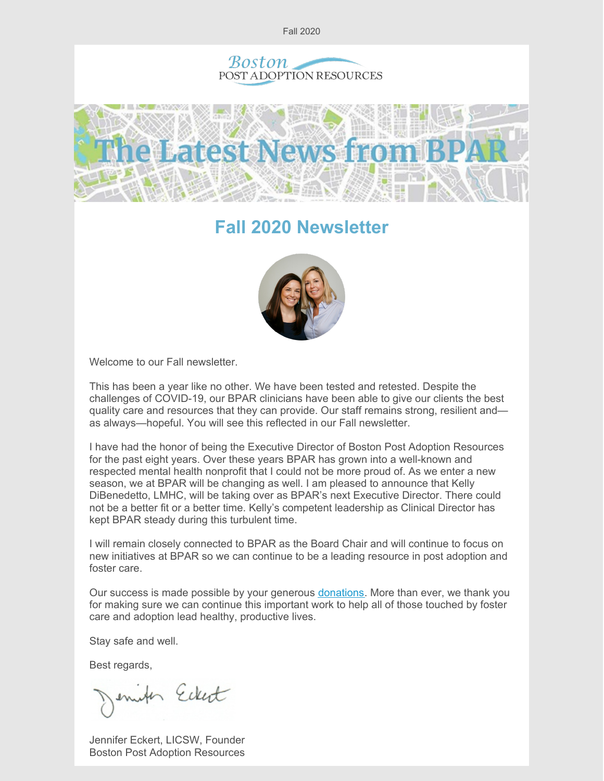





# **Fall 2020 Newsletter**



Welcome to our Fall newsletter.

This has been a year like no other. We have been tested and retested. Despite the challenges of COVID-19, our BPAR clinicians have been able to give our clients the best quality care and resources that they can provide. Our staff remains strong, resilient and as always—hopeful. You will see this reflected in our Fall newsletter.

I have had the honor of being the Executive Director of Boston Post Adoption Resources for the past eight years. Over these years BPAR has grown into a well-known and respected mental health nonprofit that I could not be more proud of. As we enter a new season, we at BPAR will be changing as well. I am pleased to announce that Kelly DiBenedetto, LMHC, will be taking over as BPAR's next Executive Director. There could not be a better fit or a better time. Kelly's competent leadership as Clinical Director has kept BPAR steady during this turbulent time.

I will remain closely connected to BPAR as the Board Chair and will continue to focus on new initiatives at BPAR so we can continue to be a leading resource in post adoption and foster care.

Our success is made possible by your generous [donations](https://bpar.org/our-vision/). More than ever, we thank you for making sure we can continue this important work to help all of those touched by foster care and adoption lead healthy, productive lives.

Stay safe and well.

Best regards,

enites Eckert

Jennifer Eckert, LICSW, Founder Boston Post Adoption Resources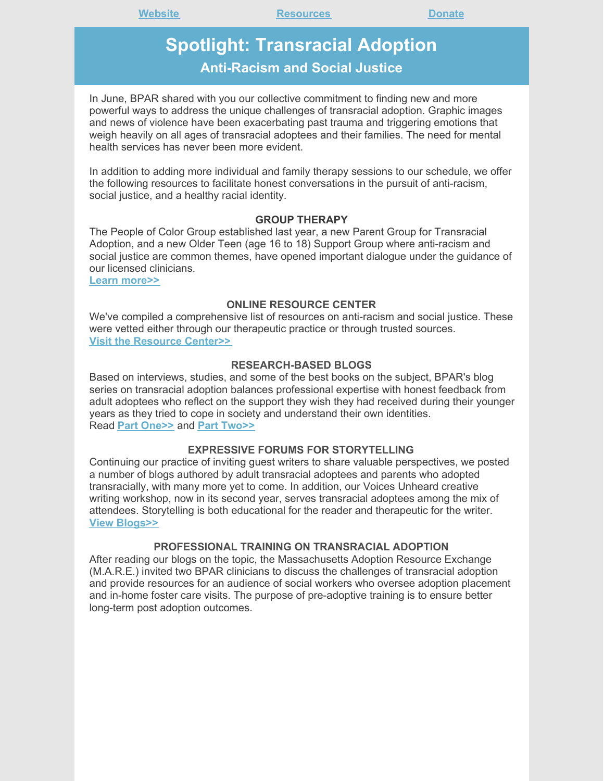## **Spotlight: Transracial Adoption Anti-Racism and Social Justice**

In June, BPAR shared with you our collective commitment to finding new and more powerful ways to address the unique challenges of transracial adoption. Graphic images and news of violence have been exacerbating past trauma and triggering emotions that weigh heavily on all ages of transracial adoptees and their families. The need for mental health services has never been more evident.

In addition to adding more individual and family therapy sessions to our schedule, we offer the following resources to facilitate honest conversations in the pursuit of anti-racism, social justice, and a healthy racial identity.

#### **GROUP THERAPY**

The People of Color Group established last year, a new Parent Group for Transracial Adoption, and a new Older Teen (age 16 to 18) Support Group where anti-racism and social justice are common themes, have opened important dialogue under the guidance of our licensed clinicians.

**Learn [more>>](https://bpar.org/group-therapy/)**

#### **ONLINE RESOURCE CENTER**

We've compiled a comprehensive list of resources on anti-racism and social justice. These were vetted either through our therapeutic practice or through trusted sources. **Visit the [Resource](https://bpar.org/transracial-adoption-resources-on-anti-racism-social-justice/) Center>>**

#### **RESEARCH-BASED BLOGS**

Based on interviews, studies, and some of the best books on the subject, BPAR's blog series on transracial adoption balances professional expertise with honest feedback from adult adoptees who reflect on the support they wish they had received during their younger years as they tried to cope in society and understand their own identities. Read **Part [One>>](https://bpar.org/transracial-adoption-what-parents-need-to-know-part-one/)** and **Part [Two>>](https://bpar.org/transracial-adoption-obstacles/)**

#### **EXPRESSIVE FORUMS FOR STORYTELLING**

Continuing our practice of inviting guest writers to share valuable perspectives, we posted a number of blogs authored by adult transracial adoptees and parents who adopted transracially, with many more yet to come. In addition, our Voices Unheard creative writing workshop, now in its second year, serves transracial adoptees among the mix of attendees. Storytelling is both educational for the reader and therapeutic for the writer. **View [Blogs>>](https://bpar.org/transracial-adoption-resources-on-anti-racism-social-justice/)**

#### **PROFESSIONAL TRAINING ON TRANSRACIAL ADOPTION**

After reading our blogs on the topic, the Massachusetts Adoption Resource Exchange (M.A.R.E.) invited two BPAR clinicians to discuss the challenges of transracial adoption and provide resources for an audience of social workers who oversee adoption placement and in-home foster care visits. The purpose of pre-adoptive training is to ensure better long-term post adoption outcomes.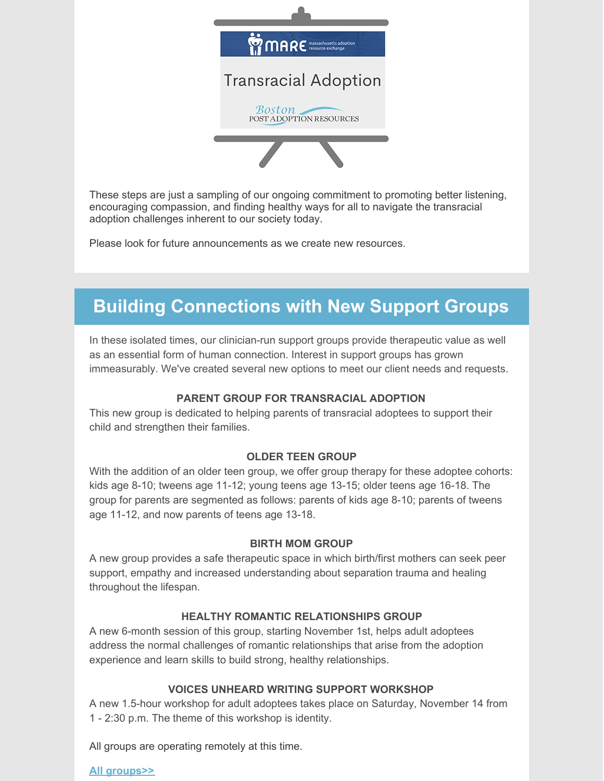

These steps are just a sampling of our ongoing commitment to promoting better listening, encouraging compassion, and finding healthy ways for all to navigate the transracial adoption challenges inherent to our society today.

Please look for future announcements as we create new resources.

# **Building Connections with New Support Groups**

In these isolated times, our clinician-run support groups provide therapeutic value as well as an essential form of human connection. Interest in support groups has grown immeasurably. We've created several new options to meet our client needs and requests.

### **PARENT GROUP FOR TRANSRACIAL ADOPTION**

This new group is dedicated to helping parents of transracial adoptees to support their child and strengthen their families.

### **OLDER TEEN GROUP**

With the addition of an older teen group, we offer group therapy for these adoptee cohorts: kids age 8-10; tweens age 11-12; young teens age 13-15; older teens age 16-18. The group for parents are segmented as follows: parents of kids age 8-10; parents of tweens age 11-12, and now parents of teens age 13-18.

### **BIRTH MOM GROUP**

A new group provides a safe therapeutic space in which birth/first mothers can seek peer support, empathy and increased understanding about separation trauma and healing throughout the lifespan.

### **HEALTHY ROMANTIC RELATIONSHIPS GROUP**

A new 6-month session of this group, starting November 1st, helps adult adoptees address the normal challenges of romantic relationships that arise from the adoption experience and learn skills to build strong, healthy relationships.

### **VOICES UNHEARD WRITING SUPPORT WORKSHOP**

A new 1.5-hour workshop for adult adoptees takes place on Saturday, November 14 from 1 - 2:30 p.m. The theme of this workshop is identity.

All groups are operating remotely at this time.

**All [groups>>](https://bpar.org/group-therapy/)**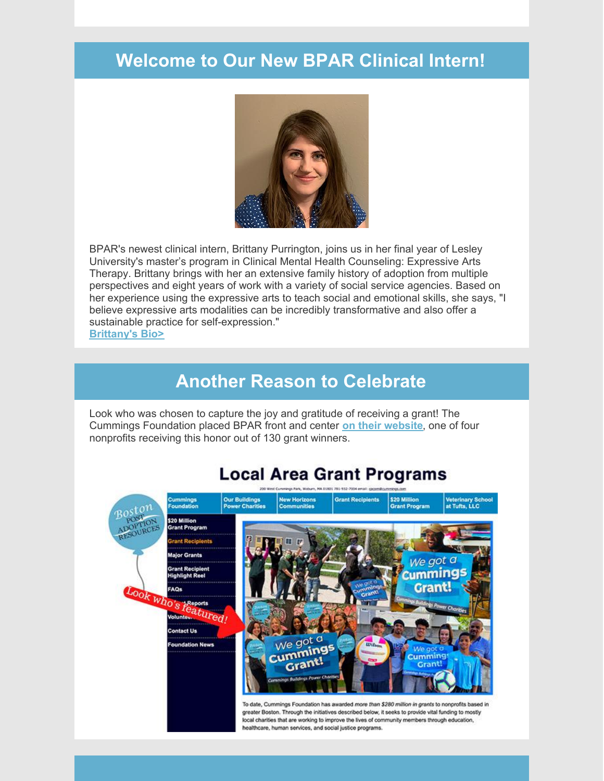# **Welcome to Our New BPAR Clinical Intern!**



BPAR's newest clinical intern, Brittany Purrington, joins us in her final year of Lesley University's master's program in Clinical Mental Health Counseling: Expressive Arts Therapy. Brittany brings with her an extensive family history of adoption from multiple perspectives and eight years of work with a variety of social service agencies. Based on her experience using the expressive arts to teach social and emotional skills, she says, "I believe expressive arts modalities can be incredibly transformative and also offer a sustainable practice for self-expression."

**[Brittany's](https://bpar.org/about-boston-post-adoption-resources/bpar-team/) Bio>**

### **Another Reason to Celebrate**

Look who was chosen to capture the joy and gratitude of receiving a grant! The Cummings Foundation placed BPAR front and center **on their [website](https://www.cummingsfoundation.org/grants/grant_recipients.htm)**, one of four nonprofits receiving this honor out of 130 grant winners.



## **Local Area Grant Programs**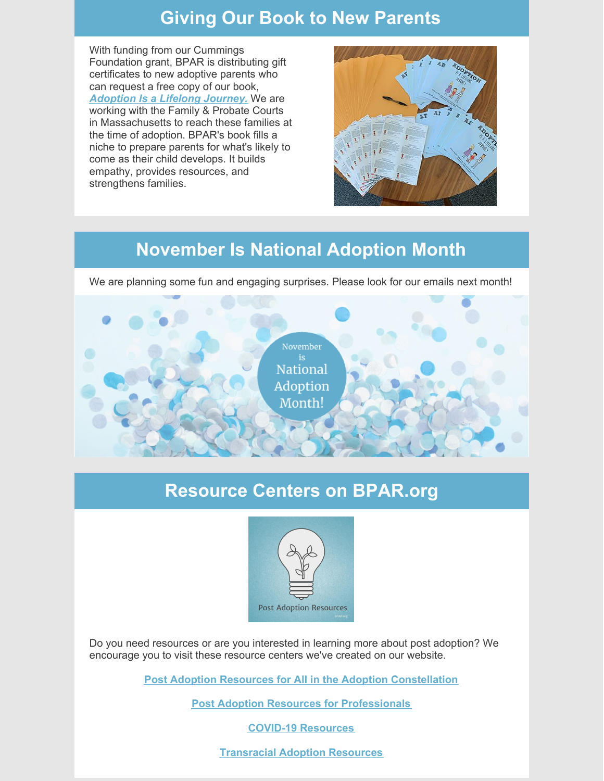## **Giving Our Book to New Parents**

With funding from our Cummings Foundation grant, BPAR is distributing gift certificates to new adoptive parents who can request a free copy of our book, *[Adoption](https://bpar.org/adoption-is-a-lifelong-journey-book/) Is a Lifelong Journey.* We are working with the Family & Probate Courts in Massachusetts to reach these families at the time of adoption. BPAR's book fills a niche to prepare parents for what's likely to come as their child develops. It builds empathy, provides resources, and strengthens families.



# **November Is National Adoption Month**

We are planning some fun and engaging surprises. Please look for our emails next month!



## **Resource Centers on BPAR.org**



Do you need resources or are you interested in learning more about post adoption? We encourage you to visit these resource centers we've created on our website.

**Post Adoption Resources for All in the Adoption [Constellation](https://bpar.org/post-adoption-resources-center/)**

**Post Adoption Resources for [Professionals](https://bpar.org/post-adoption-resources-for-professionals/)**

**COVID-19 [Resources](https://bpar.org/covid-19-resources/)**

**[Transracial](https://bpar.org/transracial-adoption-resources-on-anti-racism-social-justice/) Adoption Resources**